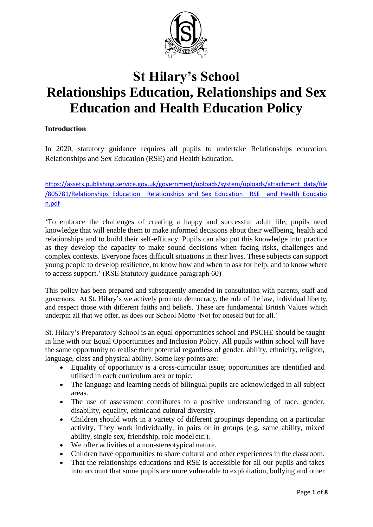

# **St Hilary's School Relationships Education, Relationships and Sex Education and Health Education Policy**

# **Introduction**

In 2020, statutory guidance requires all pupils to undertake Relationships education, Relationships and Sex Education (RSE) and Health Education.

[https://assets.publishing.service.gov.uk/government/uploads/system/uploads/attachment\\_data/file](https://assets.publishing.service.gov.uk/government/uploads/system/uploads/attachment_data/file/805781/Relationships_Education__Relationships_and_Sex_Education__RSE__and_Health_Education.pdf) /805781/Relationships\_Education Relationships\_and\_Sex\_Education RSE and Health\_Educatio [n.pdf](https://assets.publishing.service.gov.uk/government/uploads/system/uploads/attachment_data/file/805781/Relationships_Education__Relationships_and_Sex_Education__RSE__and_Health_Education.pdf)

'To embrace the challenges of creating a happy and successful adult life, pupils need knowledge that will enable them to make informed decisions about their wellbeing, health and relationships and to build their self-efficacy. Pupils can also put this knowledge into practice as they develop the capacity to make sound decisions when facing risks, challenges and complex contexts. Everyone faces difficult situations in their lives. These subjects can support young people to develop resilience, to know how and when to ask for help, and to know where to access support.' (RSE Statutory guidance paragraph 60)

This policy has been prepared and subsequently amended in consultation with parents, staff and governors. At St. Hilary's we actively promote democracy, the rule of the law, individual liberty, and respect those with different faiths and beliefs. These are fundamental British Values which underpin all that we offer, as does our School Motto 'Not for oneself but for all.'

St. Hilary's Preparatory School is an equal opportunities school and PSCHE should be taught in line with our Equal Opportunities and Inclusion Policy. All pupils within school will have the same opportunity to realise their potential regardless of gender, ability, ethnicity, religion, language, class and physical ability. Some key points are:

- Equality of opportunity is a cross-curricular issue; opportunities are identified and utilised in each curriculum area or topic.
- The language and learning needs of bilingual pupils are acknowledged in all subject areas.
- The use of assessment contributes to a positive understanding of race, gender, disability, equality, ethnic and cultural diversity.
- Children should work in a variety of different groupings depending on a particular activity. They work individually, in pairs or in groups (e.g. same ability, mixed ability, single sex, friendship, role model etc.).
- We offer activities of a non-stereotypical nature.
- Children have opportunities to share cultural and other experiences in the classroom.
- That the relationships educations and RSE is accessible for all our pupils and takes into account that some pupils are more vulnerable to exploitation, bullying and other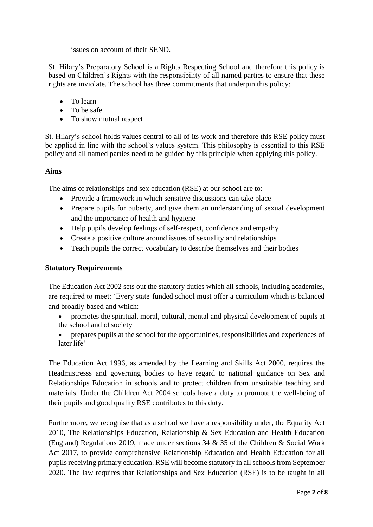issues on account of their SEND.

St. Hilary's Preparatory School is a Rights Respecting School and therefore this policy is based on Children's Rights with the responsibility of all named parties to ensure that these rights are inviolate. The school has three commitments that underpin this policy:

- To learn
- To be safe
- To show mutual respect

St. Hilary's school holds values central to all of its work and therefore this RSE policy must be applied in line with the school's values system. This philosophy is essential to this RSE policy and all named parties need to be guided by this principle when applying this policy.

## **Aims**

The aims of relationships and sex education (RSE) at our school are to:

- Provide a framework in which sensitive discussions can take place
- Prepare pupils for puberty, and give them an understanding of sexual development and the importance of health and hygiene
- Help pupils develop feelings of self-respect, confidence and empathy
- Create a positive culture around issues of sexuality and relationships
- Teach pupils the correct vocabulary to describe themselves and their bodies

## **Statutory Requirements**

The Education Act 2002 sets out the statutory duties which all schools, including academies, are required to meet: 'Every state-funded school must offer a curriculum which is balanced and broadly-based and which:

- promotes the spiritual, moral, cultural, mental and physical development of pupils at the school and ofsociety
- prepares pupils at the school for the opportunities, responsibilities and experiences of later life'

The Education Act 1996, as amended by the Learning and Skills Act 2000, requires the Headmistresss and governing bodies to have regard to national guidance on Sex and Relationships Education in schools and to protect children from unsuitable teaching and materials. Under the Children Act 2004 schools have a duty to promote the well-being of their pupils and good quality RSE contributes to this duty.

Furthermore, we recognise that as a school we have a responsibility under, the Equality Act 2010, The Relationships Education, Relationship & Sex Education and Health Education (England) Regulations 2019, made under sections 34 & 35 of the Children & Social Work Act 2017, to provide comprehensive Relationship Education and Health Education for all pupils receiving primary education. RSE will become statutory in all schools from September 2020. The law requires that Relationships and Sex Education (RSE) is to be taught in all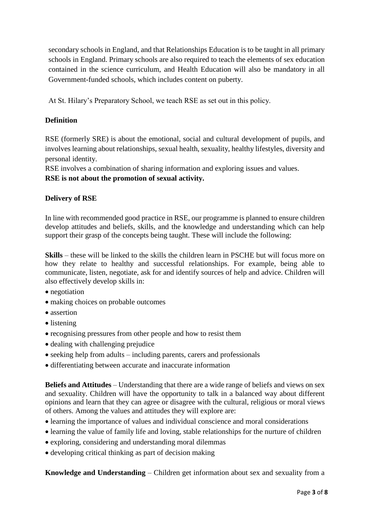secondary schools in England, and that Relationships Education is to be taught in all primary schools in England. Primary schools are also required to teach the elements of sex education contained in the science curriculum, and Health Education will also be mandatory in all Government-funded schools, which includes content on puberty.

At St. Hilary's Preparatory School, we teach RSE as set out in this policy.

## **Definition**

RSE (formerly SRE) is about the emotional, social and cultural development of pupils, and involves learning about relationships, sexual health, sexuality, healthy lifestyles, diversity and personal identity.

RSE involves a combination of sharing information and exploring issues and values.

**RSE is not about the promotion of sexual activity.**

## **Delivery of RSE**

In line with recommended good practice in RSE, our programme is planned to ensure children develop attitudes and beliefs, skills, and the knowledge and understanding which can help support their grasp of the concepts being taught. These will include the following:

**Skills** – these will be linked to the skills the children learn in PSCHE but will focus more on how they relate to healthy and successful relationships. For example, being able to communicate, listen, negotiate, ask for and identify sources of help and advice. Children will also effectively develop skills in:

- negotiation
- making choices on probable outcomes
- assertion
- listening
- recognising pressures from other people and how to resist them
- dealing with challenging prejudice
- seeking help from adults including parents, carers and professionals
- differentiating between accurate and inaccurate information

**Beliefs and Attitudes** – Understanding that there are a wide range of beliefs and views on sex and sexuality. Children will have the opportunity to talk in a balanced way about different opinions and learn that they can agree or disagree with the cultural, religious or moral views of others. Among the values and attitudes they will explore are:

- learning the importance of values and individual conscience and moral considerations
- learning the value of family life and loving, stable relationships for the nurture of children
- exploring, considering and understanding moral dilemmas
- developing critical thinking as part of decision making

**Knowledge and Understanding** – Children get information about sex and sexuality from a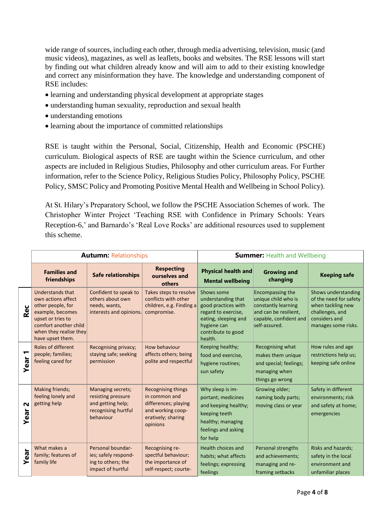wide range of sources, including each other, through media advertising, television, music (and music videos), magazines, as well as leaflets, books and websites. The RSE lessons will start by finding out what children already know and will aim to add to their existing knowledge and correct any misinformation they have. The knowledge and understanding component of RSE includes:

- learning and understanding physical development at appropriate stages
- understanding human sexuality, reproduction and sexual health
- understanding emotions
- learning about the importance of committed relationships

RSE is taught within the Personal, Social, Citizenship, Health and Economic (PSCHE) curriculum. Biological aspects of RSE are taught within the Science curriculum, and other aspects are included in Religious Studies, Philosophy and other curriculum areas. For Further information, refer to the Science Policy, Religious Studies Policy, Philosophy Policy, PSCHE Policy, SMSC Policy and Promoting Positive Mental Health and Wellbeing in School Policy).

At St. Hilary's Preparatory School, we follow the PSCHE Association Schemes of work. The Christopher Winter Project 'Teaching RSE with Confidence in Primary Schools: Years Reception-6,' and Barnardo's 'Real Love Rocks' are additional resources used to supplement this scheme.

|                  |                                                                                                                                                                                    | <b>Autumn: Relationships</b>                                                                     |                                                                                                                           | <b>Summer: Health and Wellbeing</b>                                                                                                                    |                                                                                                                                    |                                                                                                                               |
|------------------|------------------------------------------------------------------------------------------------------------------------------------------------------------------------------------|--------------------------------------------------------------------------------------------------|---------------------------------------------------------------------------------------------------------------------------|--------------------------------------------------------------------------------------------------------------------------------------------------------|------------------------------------------------------------------------------------------------------------------------------------|-------------------------------------------------------------------------------------------------------------------------------|
|                  | <b>Families and</b><br>friendships                                                                                                                                                 | <b>Safe relationships</b>                                                                        | <b>Respecting</b><br>ourselves and<br>others                                                                              | <b>Physical health and</b><br><b>Mental wellbeing</b>                                                                                                  | <b>Growing and</b><br>changing                                                                                                     | <b>Keeping safe</b>                                                                                                           |
| Rec              | <b>Understands that</b><br>own actions affect<br>other people, for<br>example, becomes<br>upset or tries to<br>comfort another child<br>when they realise they<br>have upset them. | Confident to speak to<br>others about own<br>needs, wants,<br>interests and opinions.            | Takes steps to resolve<br>conflicts with other<br>children, e.g. Finding a<br>compromise.                                 | Shows some<br>understanding that<br>good practices with<br>regard to exercise,<br>eating, sleeping and<br>hygiene can<br>contribute to good<br>health. | Encompassing the<br>unique child who is<br>constantly learning<br>and can be resilient,<br>capable, confident and<br>self-assured. | Shows understanding<br>of the need for safety<br>when tackling new<br>challenges, and<br>considers and<br>manages some risks. |
| ↽<br><b>Year</b> | Roles of different<br>people; families;<br>feeling cared for                                                                                                                       | Recognising privacy;<br>staying safe; seeking<br>permission                                      | How behaviour<br>affects others; being<br>polite and respectful                                                           | Keeping healthy;<br>food and exercise,<br>hygiene routines;<br>sun safety                                                                              | Recognising what<br>makes them unique<br>and special; feelings;<br>managing when<br>things go wrong                                | How rules and age<br>restrictions help us;<br>keeping safe online                                                             |
| $\sim$<br>Year   | Making friends;<br>feeling lonely and<br>getting help                                                                                                                              | Managing secrets;<br>resisting pressure<br>and getting help;<br>recognising hurtful<br>behaviour | <b>Recognising things</b><br>in common and<br>differences; playing<br>and working coop-<br>eratively; sharing<br>opinions | Why sleep is im-<br>portant; medicines<br>and keeping healthy;<br>keeping teeth<br>healthy; managing<br>feelings and asking<br>for help                | Growing older;<br>naming body parts;<br>moving class or year                                                                       | Safety in different<br>environments; risk<br>and safety at home;<br>emergencies                                               |
| Year             | What makes a<br>family; features of<br>family life                                                                                                                                 | Personal boundar-<br>ies; safely respond-<br>ing to others; the<br>impact of hurtful             | Recognising re-<br>spectful behaviour;<br>the importance of<br>self-respect; courte-                                      | <b>Health choices and</b><br>habits; what affects<br>feelings; expressing<br>feelings                                                                  | Personal strengths<br>and achievements;<br>managing and re-<br>framing setbacks                                                    | Risks and hazards;<br>safety in the local<br>environment and<br>unfamiliar places                                             |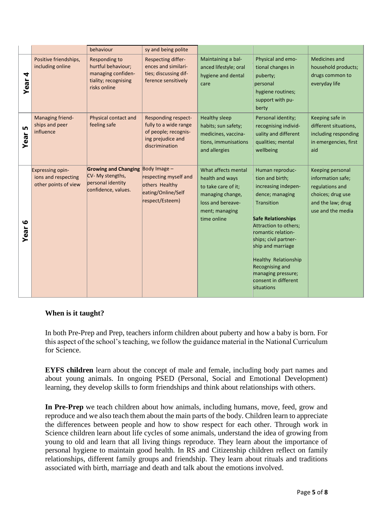|                   |                                                                 | behaviour                                                                                         | sy and being polite                                                                                                |                                                                                                                                         |                                                                                                                                                                                                                                                                                                                             |                                                                                                                         |
|-------------------|-----------------------------------------------------------------|---------------------------------------------------------------------------------------------------|--------------------------------------------------------------------------------------------------------------------|-----------------------------------------------------------------------------------------------------------------------------------------|-----------------------------------------------------------------------------------------------------------------------------------------------------------------------------------------------------------------------------------------------------------------------------------------------------------------------------|-------------------------------------------------------------------------------------------------------------------------|
| 4<br>Year         | Positive friendships,<br>including online                       | Responding to<br>hurtful behaviour;<br>managing confiden-<br>tiality; recognising<br>risks online | Respecting differ-<br>ences and similari-<br>ties; discussing dif-<br>ference sensitively                          | Maintaining a bal-<br>anced lifestyle; oral<br>hygiene and dental<br>care                                                               | Physical and emo-<br>tional changes in<br>puberty;<br>personal<br>hygiene routines;<br>support with pu-<br>berty                                                                                                                                                                                                            | Medicines and<br>household products;<br>drugs common to<br>everyday life                                                |
| Ln<br>Year        | Managing friend-<br>ships and peer<br>influence                 | Physical contact and<br>feeling safe                                                              | <b>Responding respect-</b><br>fully to a wide range<br>of people; recognis-<br>ing prejudice and<br>discrimination | <b>Healthy sleep</b><br>habits; sun safety;<br>medicines, vaccina-<br>tions, immunisations<br>and allergies                             | Personal identity;<br>recognising individ-<br>uality and different<br>qualities; mental<br>wellbeing                                                                                                                                                                                                                        | Keeping safe in<br>different situations,<br>including responding<br>in emergencies, first<br>aid                        |
| $\bullet$<br>Year | Expressing opin-<br>ions and respecting<br>other points of view | <b>Growing and Changing</b><br>CV- My stengths,<br>personal identity<br>confidence, values.       | Body Image $-$<br>respecting myself and<br>others Healthy<br>eating/Online/Self<br>respect/Esteem)                 | What affects mental<br>health and ways<br>to take care of it;<br>managing change,<br>loss and bereave-<br>ment; managing<br>time online | Human reproduc-<br>tion and birth;<br>increasing indepen-<br>dence; managing<br>Transition<br><b>Safe Relationships</b><br>Attraction to others;<br>romantic relation-<br>ships; civil partner-<br>ship and marriage<br>Healthy Relationship<br>Recognising and<br>managing pressure;<br>consent in different<br>situations | Keeping personal<br>information safe;<br>regulations and<br>choices; drug use<br>and the law; drug<br>use and the media |

#### **When is it taught?**

In both Pre-Prep and Prep, teachers inform children about puberty and how a baby is born. For this aspect of the school's teaching, we follow the guidance material in the National Curriculum for Science.

**EYFS children** learn about the concept of male and female, including body part names and about young animals. In ongoing PSED (Personal, Social and Emotional Development) learning, they develop skills to form friendships and think about relationships with others.

**In Pre-Prep** we teach children about how animals, including humans, move, feed, grow and reproduce and we also teach them about the main parts of the body. Children learn to appreciate the differences between people and how to show respect for each other. Through work in Science children learn about life cycles of some animals, understand the idea of growing from young to old and learn that all living things reproduce. They learn about the importance of personal hygiene to maintain good health. In RS and Citizenship children reflect on family relationships, different family groups and friendship. They learn about rituals and traditions associated with birth, marriage and death and talk about the emotions involved.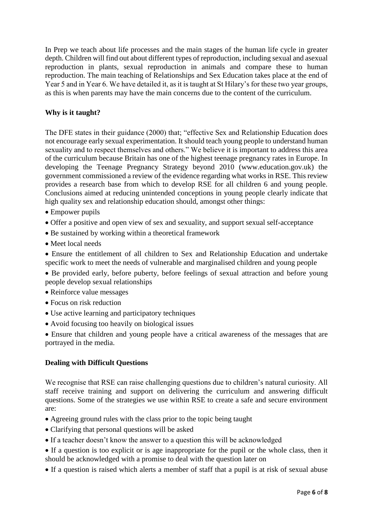In Prep we teach about life processes and the main stages of the human life cycle in greater depth. Children will find out about different types of reproduction, including sexual and asexual reproduction in plants, sexual reproduction in animals and compare these to human reproduction. The main teaching of Relationships and Sex Education takes place at the end of Year 5 and in Year 6. We have detailed it, as it is taught at St Hilary's for these two year groups, as this is when parents may have the main concerns due to the content of the curriculum.

## **Why is it taught?**

The DFE states in their guidance (2000) that; "effective Sex and Relationship Education does not encourage early sexual experimentation. It should teach young people to understand human sexuality and to respect themselves and others." We believe it is important to address this area of the curriculum because Britain has one of the highest teenage pregnancy rates in Europe. In developing the Teenage Pregnancy Strategy beyond 2010 (www.education.gov.uk) the government commissioned a review of the evidence regarding what works in RSE. This review provides a research base from which to develop RSE for all children 6 and young people. Conclusions aimed at reducing unintended conceptions in young people clearly indicate that high quality sex and relationship education should, amongst other things:

- Empower pupils
- Offer a positive and open view of sex and sexuality, and support sexual self-acceptance
- Be sustained by working within a theoretical framework
- Meet local needs

• Ensure the entitlement of all children to Sex and Relationship Education and undertake specific work to meet the needs of vulnerable and marginalised children and young people

• Be provided early, before puberty, before feelings of sexual attraction and before young people develop sexual relationships

- Reinforce value messages
- Focus on risk reduction
- Use active learning and participatory techniques
- Avoid focusing too heavily on biological issues

• Ensure that children and young people have a critical awareness of the messages that are portrayed in the media.

#### **Dealing with Difficult Questions**

We recognise that RSE can raise challenging questions due to children's natural curiosity. All staff receive training and support on delivering the curriculum and answering difficult questions. Some of the strategies we use within RSE to create a safe and secure environment are:

- Agreeing ground rules with the class prior to the topic being taught
- Clarifying that personal questions will be asked
- If a teacher doesn't know the answer to a question this will be acknowledged
- If a question is too explicit or is age inappropriate for the pupil or the whole class, then it should be acknowledged with a promise to deal with the question later on
- If a question is raised which alerts a member of staff that a pupil is at risk of sexual abuse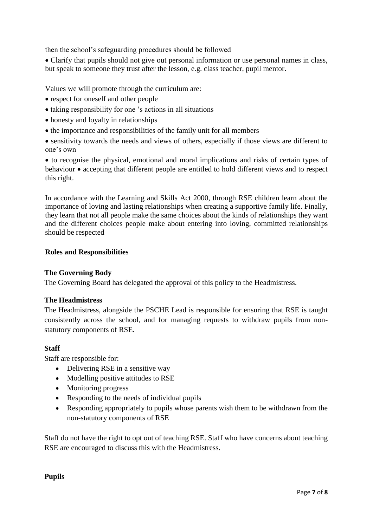then the school's safeguarding procedures should be followed

• Clarify that pupils should not give out personal information or use personal names in class, but speak to someone they trust after the lesson, e.g. class teacher, pupil mentor.

Values we will promote through the curriculum are:

- respect for oneself and other people
- taking responsibility for one 's actions in all situations
- honesty and loyalty in relationships
- the importance and responsibilities of the family unit for all members

• sensitivity towards the needs and views of others, especially if those views are different to one's own

• to recognise the physical, emotional and moral implications and risks of certain types of behaviour • accepting that different people are entitled to hold different views and to respect this right.

In accordance with the Learning and Skills Act 2000, through RSE children learn about the importance of loving and lasting relationships when creating a supportive family life. Finally, they learn that not all people make the same choices about the kinds of relationships they want and the different choices people make about entering into loving, committed relationships should be respected

#### **Roles and Responsibilities**

#### **The Governing Body**

The Governing Board has delegated the approval of this policy to the Headmistress.

#### **The Headmistress**

The Headmistress, alongside the PSCHE Lead is responsible for ensuring that RSE is taught consistently across the school, and for managing requests to withdraw pupils from nonstatutory components of RSE.

#### **Staff**

Staff are responsible for:

- Delivering RSE in a sensitive way
- Modelling positive attitudes to RSE
- Monitoring progress
- Responding to the needs of individual pupils
- Responding appropriately to pupils whose parents wish them to be withdrawn from the non-statutory components of RSE

Staff do not have the right to opt out of teaching RSE. Staff who have concerns about teaching RSE are encouraged to discuss this with the Headmistress.

**Pupils**